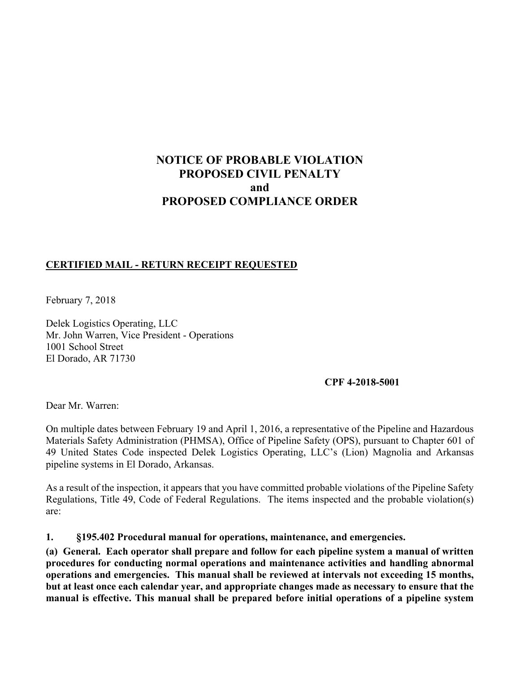# **NOTICE OF PROBABLE VIOLATION PROPOSED CIVIL PENALTY and PROPOSED COMPLIANCE ORDER**

#### **CERTIFIED MAIL - RETURN RECEIPT REQUESTED**

February 7, 2018

Delek Logistics Operating, LLC Mr. John Warren, Vice President - Operations 1001 School Street El Dorado, AR 71730

#### **CPF 4-2018-5001**

Dear Mr. Warren:

On multiple dates between February 19 and April 1, 2016, a representative of the Pipeline and Hazardous Materials Safety Administration (PHMSA), Office of Pipeline Safety (OPS), pursuant to Chapter 601 of 49 United States Code inspected Delek Logistics Operating, LLC's (Lion) Magnolia and Arkansas pipeline systems in El Dorado, Arkansas.

 As a result of the inspection, it appears that you have committed probable violations of the Pipeline Safety Regulations, Title 49, Code of Federal Regulations. The items inspected and the probable violation(s) are:

**1. §195.402 Procedural manual for operations, maintenance, and emergencies.**

 **(a) General. Each operator shall prepare and follow for each pipeline system a manual of written manual is effective. This manual shall be prepared before initial operations of a pipeline systemprocedures for conducting normal operations and maintenance activities and handling abnormal operations and emergencies. This manual shall be reviewed at intervals not exceeding 15 months, but at least once each calendar year, and appropriate changes made as necessary to ensure that the**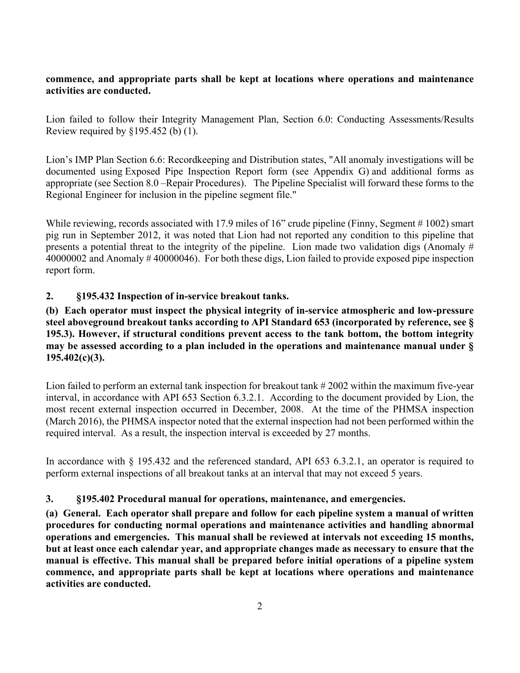#### **commence, and appropriate parts shall be kept at locations where operations and maintenance activities are conducted.**

Lion failed to follow their Integrity Management Plan, Section 6.0: Conducting Assessments/Results Review required by  $§195.452$  (b) (1).

Lion's IMP Plan Section 6.6: Recordkeeping and Distribution states, "All anomaly investigations will be documented using Exposed Pipe Inspection Report form (see Appendix G) and additional forms as appropriate (see Section 8.0 –Repair Procedures). The Pipeline Specialist will forward these forms to the Regional Engineer for inclusion in the pipeline segment file."

While reviewing, records associated with 17.9 miles of 16" crude pipeline (Finny, Segment # 1002) smart pig run in September 2012, it was noted that Lion had not reported any condition to this pipeline that presents a potential threat to the integrity of the pipeline. Lion made two validation digs (Anomaly # 40000002 and Anomaly # 40000046). For both these digs, Lion failed to provide exposed pipe inspection report form.

## **2. §195.432 Inspection of in-service breakout tanks.**

**(b) Each operator must inspect the physical integrity of in-service atmospheric and low-pressure steel aboveground breakout tanks according to API Standard 653 (incorporated by reference, see § 195.3). However, if structural conditions prevent access to the tank bottom, the bottom integrity may be assessed according to a plan included in the operations and maintenance manual under § 195.402(c)(3).** 

Lion failed to perform an external tank inspection for breakout tank #2002 within the maximum five-year interval, in accordance with API 653 Section 6.3.2.1. According to the document provided by Lion, the most recent external inspection occurred in December, 2008. At the time of the PHMSA inspection (March 2016), the PHMSA inspector noted that the external inspection had not been performed within the required interval. As a result, the inspection interval is exceeded by 27 months.

In accordance with § 195.432 and the referenced standard, API 653 6.3.2.1, an operator is required to perform external inspections of all breakout tanks at an interval that may not exceed 5 years.

## **3. §195.402 Procedural manual for operations, maintenance, and emergencies.**

 **(a) General. Each operator shall prepare and follow for each pipeline system a manual of written manual is effective. This manual shall be prepared before initial operations of a pipeline system procedures for conducting normal operations and maintenance activities and handling abnormal operations and emergencies. This manual shall be reviewed at intervals not exceeding 15 months, but at least once each calendar year, and appropriate changes made as necessary to ensure that the commence, and appropriate parts shall be kept at locations where operations and maintenance activities are conducted.**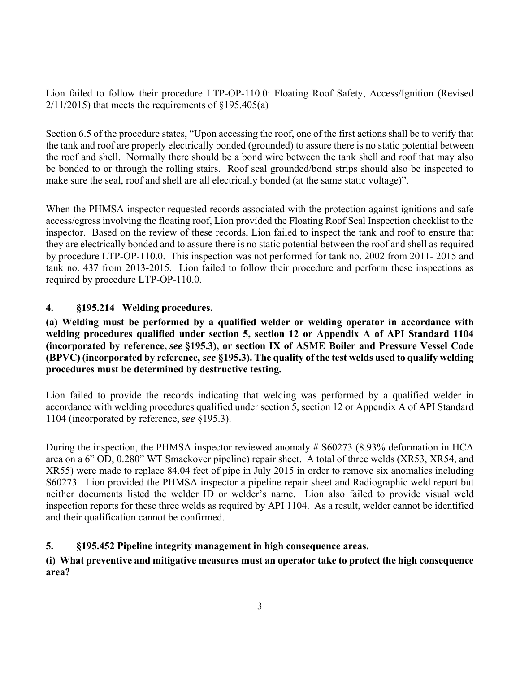Lion failed to follow their procedure LTP-OP-110.0: Floating Roof Safety, Access/Ignition (Revised  $2/11/2015$ ) that meets the requirements of §195.405(a)

Section 6.5 of the procedure states, "Upon accessing the roof, one of the first actions shall be to verify that the tank and roof are properly electrically bonded (grounded) to assure there is no static potential between the roof and shell. Normally there should be a bond wire between the tank shell and roof that may also be bonded to or through the rolling stairs. Roof seal grounded/bond strips should also be inspected to make sure the seal, roof and shell are all electrically bonded (at the same static voltage)".

When the PHMSA inspector requested records associated with the protection against ignitions and safe access/egress involving the floating roof, Lion provided the Floating Roof Seal Inspection checklist to the inspector. Based on the review of these records, Lion failed to inspect the tank and roof to ensure that they are electrically bonded and to assure there is no static potential between the roof and shell as required by procedure LTP-OP-110.0. This inspection was not performed for tank no. 2002 from 2011- 2015 and tank no. 437 from 2013-2015. Lion failed to follow their procedure and perform these inspections as required by procedure LTP-OP-110.0.

# **4. §195.214 Welding procedures.**

## **(a) Welding must be performed by a qualified welder or welding operator in accordance with welding procedures qualified under section 5, section 12 or Appendix A of API Standard 1104 (incorporated by reference,** *see* **§195.3), or section IX of ASME Boiler and Pressure Vessel Code (BPVC) (incorporated by reference,** *see* **§195.3). The quality of the test welds used to qualify welding procedures must be determined by destructive testing.**

 accordance with welding procedures qualified under section 5, section 12 or Appendix A of API Standard Lion failed to provide the records indicating that welding was performed by a qualified welder in 1104 (incorporated by reference, *see* §195.3).

During the inspection, the PHMSA inspector reviewed anomaly # S60273 (8.93% deformation in HCA area on a 6" OD, 0.280" WT Smackover pipeline) repair sheet. A total of three welds (XR53, XR54, and XR55) were made to replace 84.04 feet of pipe in July 2015 in order to remove six anomalies including S60273. Lion provided the PHMSA inspector a pipeline repair sheet and Radiographic weld report but neither documents listed the welder ID or welder's name. Lion also failed to provide visual weld inspection reports for these three welds as required by API 1104. As a result, welder cannot be identified and their qualification cannot be confirmed.

## **5. §195.452 Pipeline integrity management in high consequence areas.**

# **(i) What preventive and mitigative measures must an operator take to protect the high consequence area?**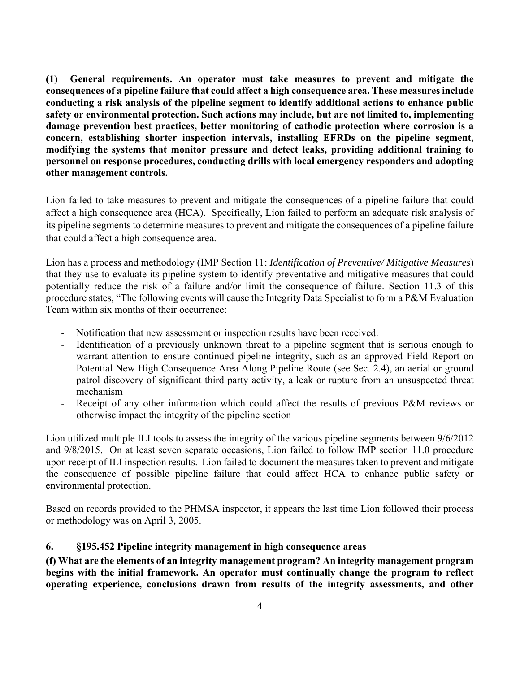**(1) General requirements. An operator must take measures to prevent and mitigate the consequences of a pipeline failure that could affect a high consequence area. These measures include conducting a risk analysis of the pipeline segment to identify additional actions to enhance public safety or environmental protection. Such actions may include, but are not limited to, implementing damage prevention best practices, better monitoring of cathodic protection where corrosion is a concern, establishing shorter inspection intervals, installing EFRDs on the pipeline segment, modifying the systems that monitor pressure and detect leaks, providing additional training to personnel on response procedures, conducting drills with local emergency responders and adopting other management controls.** 

 affect a high consequence area (HCA). Specifically, Lion failed to perform an adequate risk analysis of Lion failed to take measures to prevent and mitigate the consequences of a pipeline failure that could its pipeline segments to determine measures to prevent and mitigate the consequences of a pipeline failure that could affect a high consequence area.

Lion has a process and methodology (IMP Section 11: *Identification of Preventive/ Mitigative Measures*) that they use to evaluate its pipeline system to identify preventative and mitigative measures that could potentially reduce the risk of a failure and/or limit the consequence of failure. Section 11.3 of this procedure states, "The following events will cause the Integrity Data Specialist to form a P&M Evaluation Team within six months of their occurrence:

- Notification that new assessment or inspection results have been received.
- Identification of a previously unknown threat to a pipeline segment that is serious enough to warrant attention to ensure continued pipeline integrity, such as an approved Field Report on Potential New High Consequence Area Along Pipeline Route (see Sec. 2.4), an aerial or ground patrol discovery of significant third party activity, a leak or rupture from an unsuspected threat mechanism
- Receipt of any other information which could affect the results of previous P&M reviews or otherwise impact the integrity of the pipeline section

 Lion utilized multiple ILI tools to assess the integrity of the various pipeline segments between 9/6/2012 upon receipt of ILI inspection results. Lion failed to document the measures taken to prevent and mitigate and 9/8/2015. On at least seven separate occasions, Lion failed to follow IMP section 11.0 procedure the consequence of possible pipeline failure that could affect HCA to enhance public safety or environmental protection.

Based on records provided to the PHMSA inspector, it appears the last time Lion followed their process or methodology was on April 3, 2005.

## **6. §195.452 Pipeline integrity management in high consequence areas**

**(f) What are the elements of an integrity management program? An integrity management program begins with the initial framework. An operator must continually change the program to reflect operating experience, conclusions drawn from results of the integrity assessments, and other**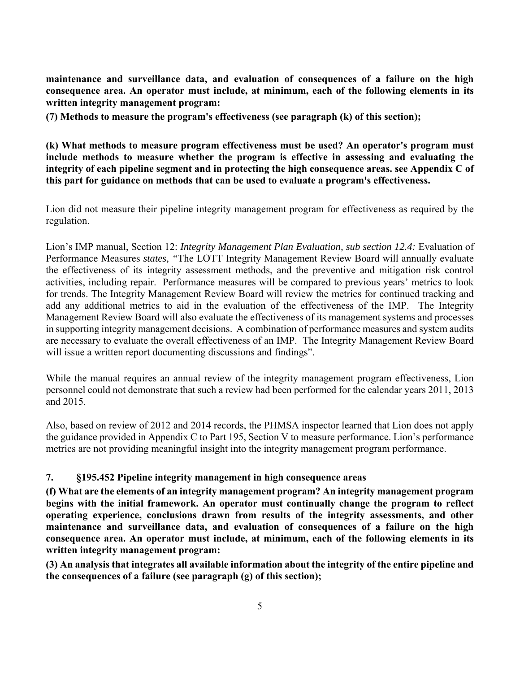**maintenance and surveillance data, and evaluation of consequences of a failure on the high consequence area. An operator must include, at minimum, each of the following elements in its written integrity management program:** 

**(7) Methods to measure the program's effectiveness (see paragraph (k) of this section);** 

**(k) What methods to measure program effectiveness must be used? An operator's program must include methods to measure whether the program is effective in assessing and evaluating the integrity of each pipeline segment and in protecting the high consequence areas. see Appendix C of this part for guidance on methods that can be used to evaluate a program's effectiveness.** 

Lion did not measure their pipeline integrity management program for effectiveness as required by the regulation.

 add any additional metrics to aid in the evaluation of the effectiveness of the IMP. The Integrity Management Review Board will also evaluate the effectiveness of its management systems and processes in supporting integrity management decisions. A combination of performance measures and system audits Lion's IMP manual, Section 12: *Integrity Management Plan Evaluation, sub section 12.4:* Evaluation of Performance Measures *states, "*The LOTT Integrity Management Review Board will annually evaluate the effectiveness of its integrity assessment methods, and the preventive and mitigation risk control activities, including repair. Performance measures will be compared to previous years' metrics to look for trends. The Integrity Management Review Board will review the metrics for continued tracking and are necessary to evaluate the overall effectiveness of an IMP. The Integrity Management Review Board will issue a written report documenting discussions and findings".

While the manual requires an annual review of the integrity management program effectiveness, Lion personnel could not demonstrate that such a review had been performed for the calendar years 2011, 2013 and 2015.

Also, based on review of 2012 and 2014 records, the PHMSA inspector learned that Lion does not apply the guidance provided in Appendix C to Part 195, Section V to measure performance. Lion's performance metrics are not providing meaningful insight into the integrity management program performance.

## **7. §195.452 Pipeline integrity management in high consequence areas**

 **maintenance and surveillance data, and evaluation of consequences of a failure on the high consequence area. An operator must include, at minimum, each of the following elements in its (f) What are the elements of an integrity management program? An integrity management program begins with the initial framework. An operator must continually change the program to reflect operating experience, conclusions drawn from results of the integrity assessments, and other written integrity management program:** 

**(3) An analysis that integrates all available information about the integrity of the entire pipeline and the consequences of a failure (see paragraph (g) of this section);**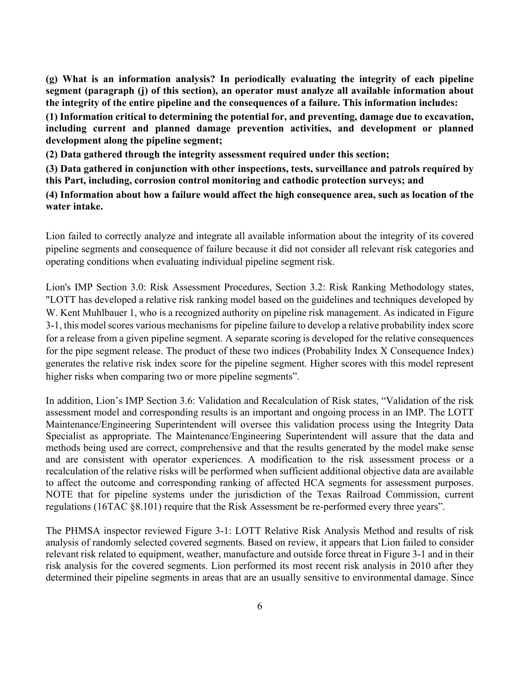**(g) What is an information analysis? In periodically evaluating the integrity of each pipeline segment (paragraph (j) of this section), an operator must analyze all available information about the integrity of the entire pipeline and the consequences of a failure. This information includes:** 

**(1) Information critical to determining the potential for, and preventing, damage due to excavation, including current and planned damage prevention activities, and development or planned development along the pipeline segment;** 

**(2) Data gathered through the integrity assessment required under this section;** 

**(3) Data gathered in conjunction with other inspections, tests, surveillance and patrols required by this Part, including, corrosion control monitoring and cathodic protection surveys; and** 

**(4) Information about how a failure would affect the high consequence area, such as location of the water intake.** 

Lion failed to correctly analyze and integrate all available information about the integrity of its covered pipeline segments and consequence of failure because it did not consider all relevant risk categories and operating conditions when evaluating individual pipeline segment risk.

 for a release from a given pipeline segment. A separate scoring is developed for the relative consequences Lion's IMP Section 3.0: Risk Assessment Procedures, Section 3.2: Risk Ranking Methodology states, "LOTT has developed a relative risk ranking model based on the guidelines and techniques developed by W. Kent Muhlbauer 1, who is a recognized authority on pipeline risk management. As indicated in Figure 3-1, this model scores various mechanisms for pipeline failure to develop a relative probability index score for the pipe segment release. The product of these two indices (Probability Index X Consequence Index) generates the relative risk index score for the pipeline segment. Higher scores with this model represent higher risks when comparing two or more pipeline segments".

 methods being used are correct, comprehensive and that the results generated by the model make sense In addition, Lion's IMP Section 3.6: Validation and Recalculation of Risk states, "Validation of the risk assessment model and corresponding results is an important and ongoing process in an IMP. The LOTT Maintenance/Engineering Superintendent will oversee this validation process using the Integrity Data Specialist as appropriate. The Maintenance/Engineering Superintendent will assure that the data and and are consistent with operator experiences. A modification to the risk assessment process or a recalculation of the relative risks will be performed when sufficient additional objective data are available to affect the outcome and corresponding ranking of affected HCA segments for assessment purposes. NOTE that for pipeline systems under the jurisdiction of the Texas Railroad Commission, current regulations (16TAC §8.101) require that the Risk Assessment be re-performed every three years".

The PHMSA inspector reviewed Figure 3-1: LOTT Relative Risk Analysis Method and results of risk analysis of randomly selected covered segments. Based on review, it appears that Lion failed to consider relevant risk related to equipment, weather, manufacture and outside force threat in Figure 3-1 and in their risk analysis for the covered segments. Lion performed its most recent risk analysis in 2010 after they determined their pipeline segments in areas that are an usually sensitive to environmental damage. Since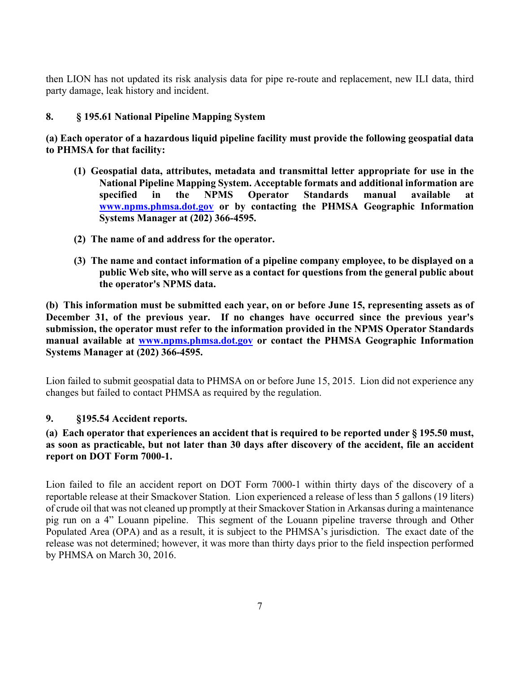then LION has not updated its risk analysis data for pipe re-route and replacement, new ILI data, third party damage, leak history and incident.

#### **8. § 195.61 National Pipeline Mapping System**

**(a) Each operator of a hazardous liquid pipeline facility must provide the following geospatial data to PHMSA for that facility:** 

- **(1) Geospatial data, attributes, metadata and transmittal letter appropriate for use in the National Pipeline Mapping System. Acceptable formats and additional information are specified in the NPMS Operator Standards manual available www.npms.phmsa.dot.gov or by contacting the PHMSA Geographic Information Systems Manager at (202) 366-4595.**
- **(2) The name of and address for the operator.**
- **public Web site, who will serve as a contact for questions from the general public about (3) The name and contact information of a pipeline company employee, to be displayed on a the operator's NPMS data.**

**(b) This information must be submitted each year, on or before June 15, representing assets as of December 31, of the previous year. If no changes have occurred since the previous year's submission, the operator must refer to the information provided in the NPMS Operator Standards manual available at www.npms.phmsa.dot.gov or contact the PHMSA Geographic Information Systems Manager at (202) 366-4595.** 

Lion failed to submit geospatial data to PHMSA on or before June 15, 2015. Lion did not experience any changes but failed to contact PHMSA as required by the regulation.

#### **9. §195.54 Accident reports.**

#### **(a) Each operator that experiences an accident that is required to be reported under § 195.50 must, as soon as practicable, but not later than 30 days after discovery of the accident, file an accident report on DOT Form 7000-1.**

 reportable release at their Smackover Station. Lion experienced a release of less than 5 gallons (19 liters) Lion failed to file an accident report on DOT Form 7000-1 within thirty days of the discovery of a of crude oil that was not cleaned up promptly at their Smackover Station in Arkansas during a maintenance pig run on a 4" Louann pipeline. This segment of the Louann pipeline traverse through and Other Populated Area (OPA) and as a result, it is subject to the PHMSA's jurisdiction. The exact date of the release was not determined; however, it was more than thirty days prior to the field inspection performed by PHMSA on March 30, 2016.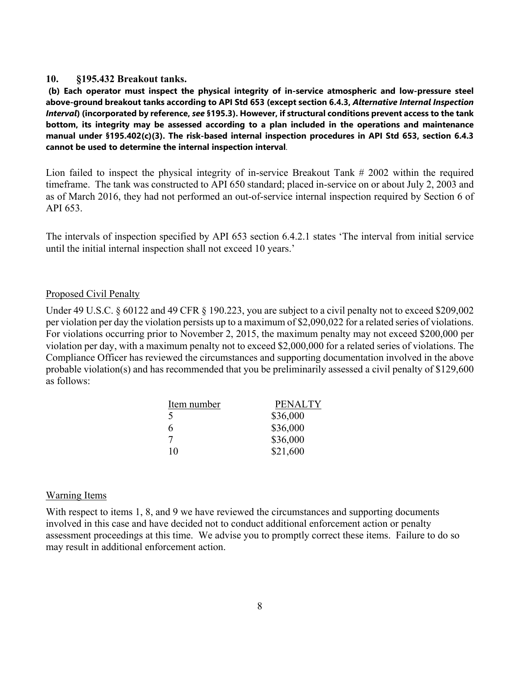#### **10. §195.432 Breakout tanks.**

 **bottom, its integrity may be assessed according to a plan included in the operations and maintenance (b) Each operator must inspect the physical integrity of in-service atmospheric and low-pressure steel above-ground breakout tanks according to API Std 653 (except section 6.4.3,** *Alternative Internal Inspection Interval***) (incorporated by reference,** *see* **§195.3). However, if structural conditions prevent access to the tank manual under §195.402(c)(3). The risk-based internal inspection procedures in API Std 653, section 6.4.3 cannot be used to determine the internal inspection interval**.

Lion failed to inspect the physical integrity of in-service Breakout Tank # 2002 within the required timeframe. The tank was constructed to API 650 standard; placed in-service on or about July 2, 2003 and as of March 2016, they had not performed an out-of-service internal inspection required by Section 6 of API 653.

 The intervals of inspection specified by API 653 section 6.4.2.1 states 'The interval from initial service until the initial internal inspection shall not exceed 10 years.'

#### Proposed Civil Penalty

 violation per day, with a maximum penalty not to exceed \$2,000,000 for a related series of violations. The Under 49 U.S.C. § 60122 and 49 CFR § 190.223, you are subject to a civil penalty not to exceed \$209,002 per violation per day the violation persists up to a maximum of \$2,090,022 for a related series of violations. For violations occurring prior to November 2, 2015, the maximum penalty may not exceed \$200,000 per Compliance Officer has reviewed the circumstances and supporting documentation involved in the above probable violation(s) and has recommended that you be preliminarily assessed a civil penalty of \$129,600 as follows:

| Item number | <b>PENALTY</b> |
|-------------|----------------|
| .5          | \$36,000       |
| 6           | \$36,000       |
| 7           | \$36,000       |
| 10          | \$21,600       |

#### Warning Items

With respect to items 1, 8, and 9 we have reviewed the circumstances and supporting documents involved in this case and have decided not to conduct additional enforcement action or penalty assessment proceedings at this time. We advise you to promptly correct these items. Failure to do so may result in additional enforcement action.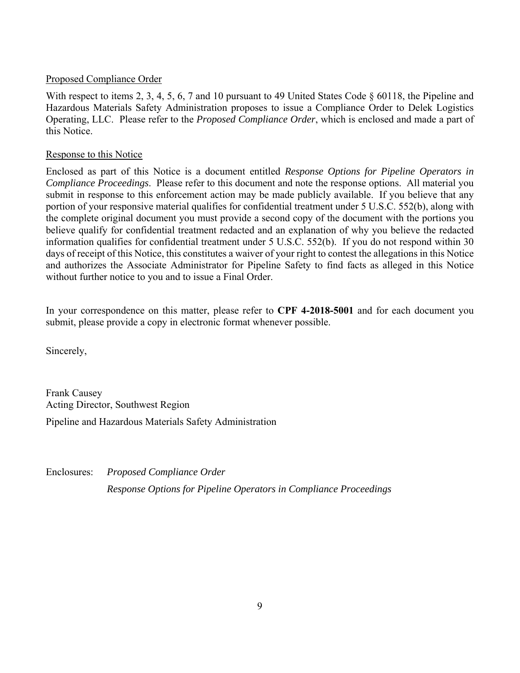#### Proposed Compliance Order

With respect to items 2, 3, 4, 5, 6, 7 and 10 pursuant to 49 United States Code  $\S$  60118, the Pipeline and Hazardous Materials Safety Administration proposes to issue a Compliance Order to Delek Logistics Operating, LLC. Please refer to the *Proposed Compliance Order*, which is enclosed and made a part of this Notice.

#### Response to this Notice

 Enclosed as part of this Notice is a document entitled *Response Options for Pipeline Operators in Compliance Proceedings*. Please refer to this document and note the response options. All material you submit in response to this enforcement action may be made publicly available. If you believe that any information qualifies for confidential treatment under 5 U.S.C. 552(b). If you do not respond within 30 portion of your responsive material qualifies for confidential treatment under 5 U.S.C. 552(b), along with the complete original document you must provide a second copy of the document with the portions you believe qualify for confidential treatment redacted and an explanation of why you believe the redacted days of receipt of this Notice, this constitutes a waiver of your right to contest the allegations in this Notice and authorizes the Associate Administrator for Pipeline Safety to find facts as alleged in this Notice without further notice to you and to issue a Final Order.

In your correspondence on this matter, please refer to **CPF 4-2018-5001** and for each document you submit, please provide a copy in electronic format whenever possible.

Sincerely,

Frank Causey Acting Director, Southwest Region Pipeline and Hazardous Materials Safety Administration

Enclosures: *Proposed Compliance Order Response Options for Pipeline Operators in Compliance Proceedings*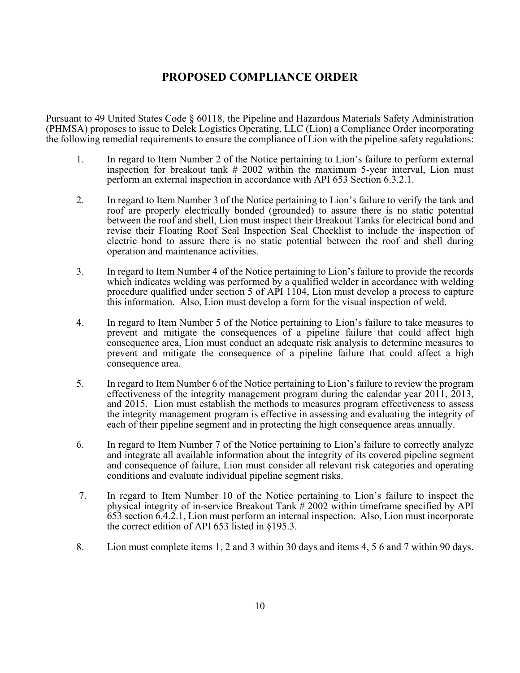# **PROPOSED COMPLIANCE ORDER**

Pursuant to 49 United States Code § 60118, the Pipeline and Hazardous Materials Safety Administration (PHMSA) proposes to issue to Delek Logistics Operating, LLC (Lion) a Compliance Order incorporating the following remedial requirements to ensure the compliance of Lion with the pipeline safety regulations:

- 1. In regard to Item Number 2 of the Notice pertaining to Lion's failure to perform external inspection for breakout tank # 2002 within the maximum 5-year interval, Lion must perform an external inspection in accordance with API 653 Section 6.3.2.1.
- 2. In regard to Item Number 3 of the Notice pertaining to Lion's failure to verify the tank and electric bond to assure there is no static potential between the roof and shell during roof are properly electrically bonded (grounded) to assure there is no static potential between the roof and shell, Lion must inspect their Breakout Tanks for electrical bond and revise their Floating Roof Seal Inspection Seal Checklist to include the inspection of operation and maintenance activities.
- 3. In regard to Item Number 4 of the Notice pertaining to Lion's failure to provide the records which indicates welding was performed by a qualified welder in accordance with welding procedure qualified under section 5 of API 1104, Lion must develop a process to capture this information. Also, Lion must develop a form for the visual inspection of weld.
- 4. In regard to Item Number 5 of the Notice pertaining to Lion's failure to take measures to prevent and mitigate the consequence of a pipeline failure that could affect a high prevent and mitigate the consequences of a pipeline failure that could affect high consequence area, Lion must conduct an adequate risk analysis to determine measures to consequence area.
- 5. In regard to Item Number 6 of the Notice pertaining to Lion's failure to review the program effectiveness of the integrity management program during the calendar year 2011, 2013, and 2015. Lion must establish the methods to measures program effectiveness to assess the integrity management program is effective in assessing and evaluating the integrity of each of their pipeline segment and in protecting the high consequence areas annually.
- 6. In regard to Item Number 7 of the Notice pertaining to Lion's failure to correctly analyze and integrate all available information about the integrity of its covered pipeline segment and consequence of failure, Lion must consider all relevant risk categories and operating conditions and evaluate individual pipeline segment risks.
- 7. In regard to Item Number 10 of the Notice pertaining to Lion's failure to inspect the physical integrity of in-service Breakout Tank # 2002 within timeframe specified by API 653 section 6.4.2.1, Lion must perform an internal inspection. Also, Lion must incorporate the correct edition of API 653 listed in §195.3.
- 8. Lion must complete items 1, 2 and 3 within 30 days and items 4, 5 6 and 7 within 90 days.